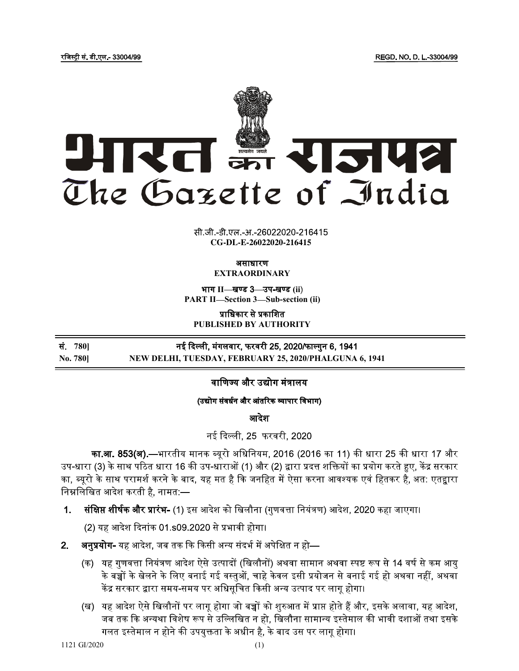

 $CG-DL-E-26022020-216415$ 

### असाधारण EXTRAORDINARY

भाग II-खण्ड 3-उप-खण्ड (ii) PART II-Section 3-Sub-section (ii)

प्राधिकार से प्रकाशित PUBLISHED BY AUTHORITY

780] No. 780] NEW DELHI, TUESDAY, FEBRUARY 25, 2020/PHALGUNA 6, 1941

वाणिज्य और उद्योग मंत्रालय

# (उद्योग संवर्धन और आंतरिक व्यापार विभाग)

आदेश

नई दिल्ली. 25 फरवरी. 2020

का.<mark>आ. 853(अ).—</mark>भारतीय मानक ब्यूरो अधिनियम, 2016 (2016 का 11) की धारा 25 की धारा 17 और उप-धारा (3) के साथ पठित धारा 16 की उप-धाराओं (1) और (2) द्वारा प्रदत्त शक्तियों का प्रयोग करते हुए, केंद्र सरकार का, ब्यूरो के साथ परामर्श करने के बाद, यह मत है कि जनहित में ऐसा करना आवश्यक एवं हितकर है, अत: एतद्वारा निम्नलिखित आदेश करती है. नामत:—

1. सं**क्षिप्त शीर्षक और प्रारंभ-** (1) इस आदेश को खिलौना (गुणवत्ता नियंत्रण) आदेश, 2020 कहा जाएगा।

(2) यह आदेश दिनांक 01.s09.2020 से प्रभावी होगा।

- $2.$ **अनुप्रयोग-** यह आदेश, जब तक कि किसी अन्य संदर्भ में अपेक्षित न हो—
	- (क) यह गुणवत्ता नियंत्रण आदेश ऐसे उत्पादों (खिलौनों) अथवा सामान अथवा स्पष्ट रूप से 14 वर्ष से कम आयु के बच्चों के खेलने के लिए बनाई गई वस्तुओं, चाहे केवल इसी प्रयोजन से बनाई गई हो अथवा नहीं, अथवा केंद्र सरकार द्वारा समय-समय पर अधिसुचित किसी अन्य उत्पाद पर लागू होगा।
	- (ख) यह आदेश ऐसे खिलौनों पर लागू होगा जो बच्चों को शुरुआत में प्राप्त होते हैं और, इसके अलावा, यह आदेश, जब तक कि अन्यथा विशेष रूप से उल्लिखित न हो, खिलौना सामान्य इस्तेमाल की भावी दशाओं तथा इसके गलत इस्तेमाल न होने की उपयुक्तता के अधीन है, के बाद उस पर लागू होगा।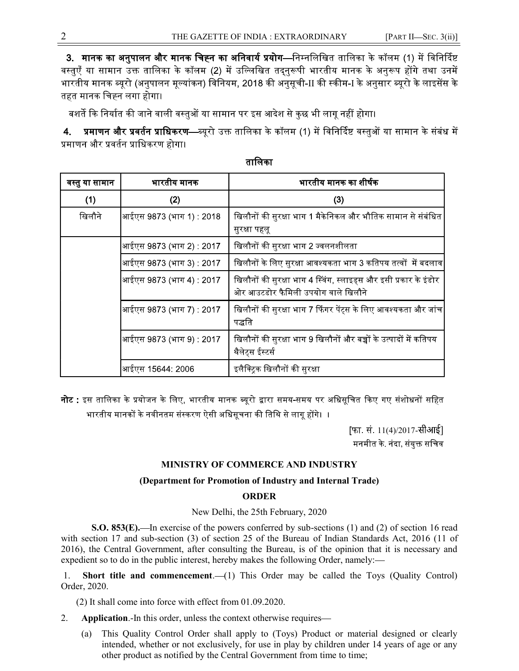3. मानक का अनुपालन और मानक चिह्न का अनिवार्य प्रयोग—निम्नलिखित तालिका के कॉलम (1) में विनिर्दिष्ट वस्त्एँ या सामान उक्त तालिका के कॉलम (2) में उल्लिखित तदनरूपी भारतीय मानक के अनुरूप होंगे तथा उनमें भारतीय मानक ब्यूरो (अनुपालन मूल्यांकन) विनियम, 2018 की अनुसूची-II की स्कीम-I के अनुसार ब्यूरो के लाइसेंस के तहत मानक चिह्न लगा होगा।

बशर्ते कि निर्यात की जाने वाली वस्तुओं या सामान पर इस आदेश से कुछ भी लागू नहीं होगा।

**प्रमाणन और प्रवर्तन प्राधिकरण—**ब्यूरो उक्त तालिका के कॉलम (1) में विनिर्दिष्ट वस्तुओं या सामान के संबंध में  $4.$ प्रमाणन और प्रवर्तन प्राधिकरण होगा।

| वस्तु या सामान | भारतीय मानक              | भारतीय मानक का शीर्षक                                                                                  |
|----------------|--------------------------|--------------------------------------------------------------------------------------------------------|
| (1)            | (2)                      | (3)                                                                                                    |
| खिलौने         | आईएस 9873 (भाग 1) : 2018 | खिलौनों की सुरक्षा भाग 1 मैकेनिकल और भौतिक सामान से संबंधित<br>सुरक्षा पहलू                            |
|                | आईएस 9873 (भाग 2) : 2017 | खिलौनों की सुरक्षा भाग 2 ज्वलनशीलता                                                                    |
|                | आईएस 9873 (भाग 3) : 2017 | खिलौनों के लिए सुरक्षा आवश्यकता भाग 3 कतिपय तत्वों  में बदलाव                                          |
|                | आईएस 9873 (भाग 4) : 2017 | खिलौनों की सुरक्षा भाग 4 स्विंग, स्लाइड्स और इसी प्रकार के इंडोर<br>ओर आउटडोर फैमिली उपयोग वाले खिलौने |
|                | आईएस 9873 (भाग 7) : 2017 | खिलौनों की सुरक्षा भाग 7 फिंगर पेंट्स के लिए आवश्यकता और जांच<br>पद्धति                                |
|                | आईएस 9873 (भाग 9) : 2017 | खिलौनों की सुरक्षा भाग 9 खिलौनों और बच्चों के उत्पादों में कतिपय<br>थैलेट्स ईस्टर्स                    |
|                | आईएस 15644: 2006         | इलैक्ट्रिक खिलौनों की सुरक्षा                                                                          |

## तालिका

**नोट** : इस तालिका के प्रयोजन के लिए, भारतीय मानक ब्यूरो द्वारा समय-समय पर अधिसूचित किए गए संशोधनों सहित भारतीय मानकों के नवीनतम संस्करण ऐसी अधिसूचना की तिथि से लागू होंगे। ।

> [फा. सं 11(4)/2017-सीआई] मनमीत के. नंदा, संयुक्त सचिव

## MINISTRY OF COMMERCE AND INDUSTRY

## (Department for Promotion of Industry and Internal Trade)

## ORDER

New Delhi, the 25th February, 2020

S.O. 853 $(E)$ . In exercise of the powers conferred by sub-sections (1) and (2) of section 16 read with section 17 and sub-section (3) of section 25 of the Bureau of Indian Standards Act, 2016 (11 of 2016), the Central Government, after consulting the Bureau, is of the opinion that it is necessary and expedient so to do in the public interest, hereby makes the following Order, namely:

1. Short title and commencement. (1) This Order may be called the Toys (Quality Control) Order, 2020.

(2) It shall come into force with effect from 01.09.2020.

- 2. Application.-In this order, unless the context otherwise requires—
	- (a) This Quality Control Order shall apply to (Toys) Product or material designed or clearly intended, whether or not exclusively, for use in play by children under 14 years of age or any other product as notified by the Central Government from time to time;